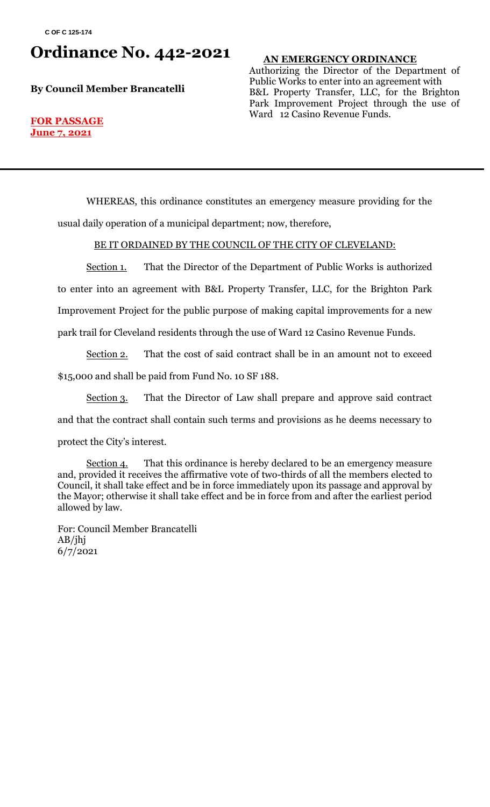## **Ordinance No. 442-2021**

**By Council Member Brancatelli**

#### **AN EMERGENCY ORDINANCE**

Authorizing the Director of the Department of Public Works to enter into an agreement with B&L Property Transfer, LLC, for the Brighton Park Improvement Project through the use of Ward 12 Casino Revenue Funds.

#### **FOR PASSAGE June 7, 2021**

WHEREAS, this ordinance constitutes an emergency measure providing for the usual daily operation of a municipal department; now, therefore,

#### BE IT ORDAINED BY THE COUNCIL OF THE CITY OF CLEVELAND:

Section 1. That the Director of the Department of Public Works is authorized to enter into an agreement with B&L Property Transfer, LLC, for the Brighton Park Improvement Project for the public purpose of making capital improvements for a new park trail for Cleveland residents through the use of Ward 12 Casino Revenue Funds.

Section 2. That the cost of said contract shall be in an amount not to exceed \$15,000 and shall be paid from Fund No. 10 SF 188.

Section 3. That the Director of Law shall prepare and approve said contract and that the contract shall contain such terms and provisions as he deems necessary to protect the City's interest.

Section 4. That this ordinance is hereby declared to be an emergency measure and, provided it receives the affirmative vote of two-thirds of all the members elected to Council, it shall take effect and be in force immediately upon its passage and approval by the Mayor; otherwise it shall take effect and be in force from and after the earliest period allowed by law.

For: Council Member Brancatelli AB/jhj 6/7/2021